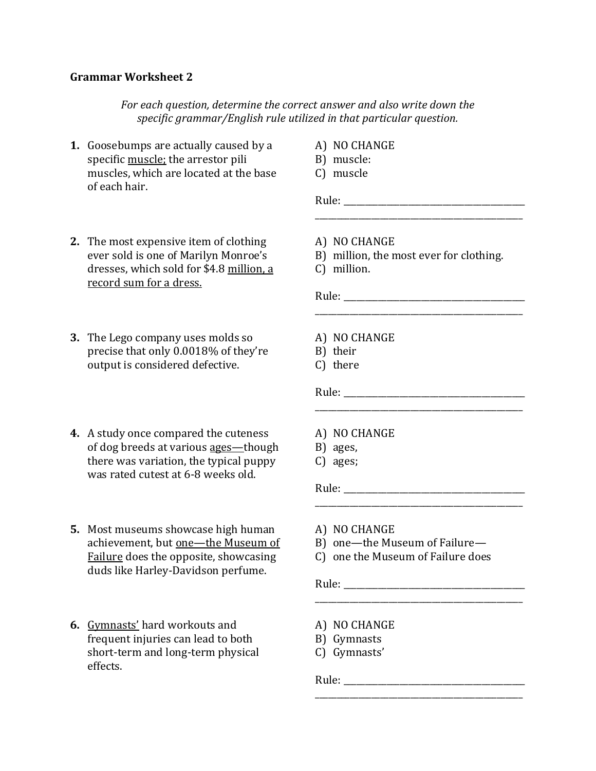## **Grammar Worksheet 2**

*For each question, determine the correct answer and also write down the specific grammar/English rule utilized in that particular question.*

- **1.** Goosebumps are actually caused by a specific muscle; the arrestor pili muscles, which are located at the base of each hair.
- A) NO CHANGE
- B) muscle:
- C) muscle

**2.** The most expensive item of clothing ever sold is one of Marilyn Monroe's dresses, which sold for \$4.8 million, a record sum for a dress.

- **3.** The Lego company uses molds so precise that only 0.0018% of they're output is considered defective.
- **4.** A study once compared the cuteness of dog breeds at various ages-though there was variation, the typical puppy was rated cutest at 6-8 weeks old.
- **5.** Most museums showcase high human achievement, but one-the Museum of Failure does the opposite, showcasing duds like Harley-Davidson perfume.
- **6.** Gymnasts' hard workouts and frequent injuries can lead to both short-term and long-term physical effects.
- A) NO CHANGE
- B) million, the most ever for clothing.

\_\_\_\_\_\_\_\_\_\_\_\_\_\_\_\_\_\_\_\_\_\_\_\_\_\_\_\_\_\_\_\_\_\_\_\_\_\_\_\_\_\_\_\_\_\_\_\_

\_\_\_\_\_\_\_\_\_\_\_\_\_\_\_\_\_\_\_\_\_\_\_\_\_\_\_\_\_\_\_\_\_\_\_\_\_\_\_\_\_\_\_\_\_\_\_\_

\_\_\_\_\_\_\_\_\_\_\_\_\_\_\_\_\_\_\_\_\_\_\_\_\_\_\_\_\_\_\_\_\_\_\_\_\_\_\_\_\_\_\_\_\_\_\_\_

\_\_\_\_\_\_\_\_\_\_\_\_\_\_\_\_\_\_\_\_\_\_\_\_\_\_\_\_\_\_\_\_\_\_\_\_\_\_\_\_\_\_\_\_\_\_\_\_

 $\overline{\phantom{a}}$  , and the set of the set of the set of the set of the set of the set of the set of the set of the set of the set of the set of the set of the set of the set of the set of the set of the set of the set of the s

Rule: \_\_\_\_\_\_\_\_\_\_\_\_\_\_\_\_\_\_\_\_\_\_\_\_\_\_\_\_\_\_\_\_\_\_\_\_\_\_\_\_\_\_ \_\_\_\_\_\_\_\_\_\_\_\_\_\_\_\_\_\_\_\_\_\_\_\_\_\_\_\_\_\_\_\_\_\_\_\_\_\_\_\_\_\_\_\_\_\_\_\_

C) million.

Rule: \_\_\_\_\_\_\_\_\_\_\_\_\_\_\_\_\_\_\_\_\_\_\_\_\_\_\_\_\_\_\_\_\_\_\_\_\_\_\_\_\_\_

- A) NO CHANGE
- B) their
- C) there

Rule: \_\_\_\_\_\_\_\_\_\_\_\_\_\_\_\_\_\_\_\_\_\_\_\_\_\_\_\_\_\_\_\_\_\_\_\_\_\_\_\_\_\_

- A) NO CHANGE
- B) ages,
- C) ages;

Rule:

- A) NO CHANGE
- B) one—the Museum of Failure—
- C) one the Museum of Failure does

Rule:

- A) NO CHANGE
- B) Gymnasts
- C) Gymnasts'

Rule: \_\_\_\_\_\_\_\_\_\_\_\_\_\_\_\_\_\_\_\_\_\_\_\_\_\_\_\_\_\_\_\_\_\_\_\_\_\_\_\_\_\_